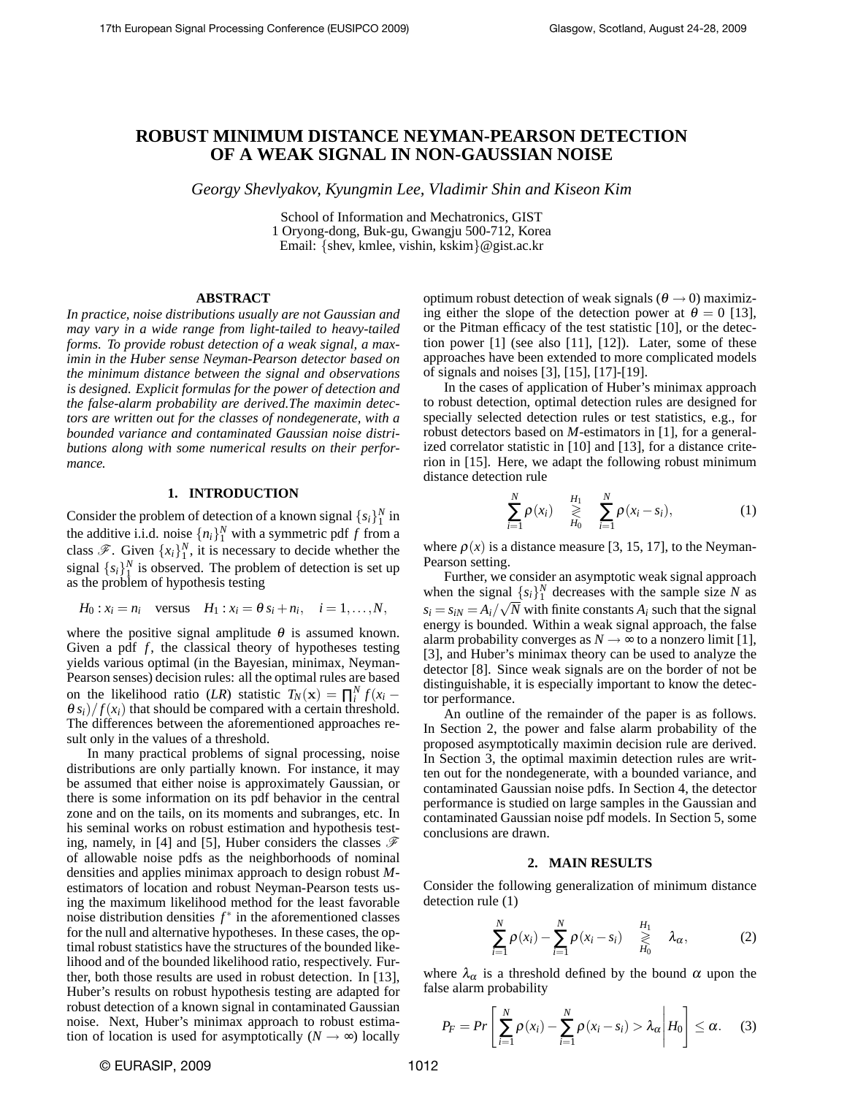# **ROBUST MINIMUM DISTANCE NEYMAN-PEARSON DETECTION OF A WEAK SIGNAL IN NON-GAUSSIAN NOISE**

*Georgy Shevlyakov, Kyungmin Lee, Vladimir Shin and Kiseon Kim*

School of Information and Mechatronics, GIST 1 Oryong-dong, Buk-gu, Gwangju 500-712, Korea Email: {shev, kmlee, vishin, kskim}@gist.ac.kr

#### **ABSTRACT**

*In practice, noise distributions usually are not Gaussian and may vary in a wide range from light-tailed to heavy-tailed forms. To provide robust detection of a weak signal, a maximin in the Huber sense Neyman-Pearson detector based on the minimum distance between the signal and observations is designed. Explicit formulas for the power of detection and the false-alarm probability are derived.The maximin detectors are written out for the classes of nondegenerate, with a bounded variance and contaminated Gaussian noise distributions along with some numerical results on their performance.*

## **1. INTRODUCTION**

Consider the problem of detection of a known signal  $\{s_i\}_1^N$  in the additive i.i.d. noise  $\{n_i\}_1^N$  with a symmetric pdf *f* from a class  $\mathscr{F}$ . Given  $\{x_i\}_1^N$ , it is necessary to decide whether the signal  $\{s_i\}_1^N$  is observed. The problem of detection is set up as the problem of hypothesis testing

$$
H_0: x_i = n_i \quad \text{versus} \quad H_1: x_i = \theta s_i + n_i, \quad i = 1, \dots, N,
$$

where the positive signal amplitude  $\theta$  is assumed known. Given a pdf *f*, the classical theory of hypotheses testing yields various optimal (in the Bayesian, minimax, Neyman-Pearson senses) decision rules: all the optimal rules are based on the likelihood ratio (*LR*) statistic  $T_N(\mathbf{x}) = \prod_i^N f(x_i \theta s_i$ )/ $f(x_i)$  that should be compared with a certain threshold. The differences between the aforementioned approaches result only in the values of a threshold.

In many practical problems of signal processing, noise distributions are only partially known. For instance, it may be assumed that either noise is approximately Gaussian, or there is some information on its pdf behavior in the central zone and on the tails, on its moments and subranges, etc. In his seminal works on robust estimation and hypothesis testing, namely, in [4] and [5], Huber considers the classes  $\mathscr F$ of allowable noise pdfs as the neighborhoods of nominal densities and applies minimax approach to design robust *M*estimators of location and robust Neyman-Pearson tests using the maximum likelihood method for the least favorable noise distribution densities  $f^*$  in the aforementioned classes for the null and alternative hypotheses. In these cases, the optimal robust statistics have the structures of the bounded likelihood and of the bounded likelihood ratio, respectively. Further, both those results are used in robust detection. In [13], Huber's results on robust hypothesis testing are adapted for robust detection of a known signal in contaminated Gaussian noise. Next, Huber's minimax approach to robust estimation of location is used for asymptotically ( $N \rightarrow \infty$ ) locally optimum robust detection of weak signals ( $\theta \rightarrow 0$ ) maximizing either the slope of the detection power at  $\theta = 0$  [13], or the Pitman efficacy of the test statistic [10], or the detection power [1] (see also [11], [12]). Later, some of these approaches have been extended to more complicated models of signals and noises [3], [15], [17]-[19].

In the cases of application of Huber's minimax approach to robust detection, optimal detection rules are designed for specially selected detection rules or test statistics, e.g., for robust detectors based on *M*-estimators in [1], for a generalized correlator statistic in [10] and [13], for a distance criterion in [15]. Here, we adapt the following robust minimum distance detection rule

$$
\sum_{i=1}^{N} \rho(x_i) \geq \sum_{H_0}^{H_1} \sum_{i=1}^{N} \rho(x_i - s_i), \qquad (1)
$$

where  $\rho(x)$  is a distance measure [3, 15, 17], to the Neyman-Pearson setting.

Further, we consider an asymptotic weak signal approach when the signal  ${s_i}_1^N$  decreases with the sample size *N* as  $s_i = s_{iN} = A_i / \sqrt{N}$  with finite constants  $A_i$  such that the signal energy is bounded. Within a weak signal approach, the false alarm probability converges as  $N \rightarrow \infty$  to a nonzero limit [1], [3], and Huber's minimax theory can be used to analyze the detector [8]. Since weak signals are on the border of not be distinguishable, it is especially important to know the detector performance.

An outline of the remainder of the paper is as follows. In Section 2, the power and false alarm probability of the proposed asymptotically maximin decision rule are derived. In Section 3, the optimal maximin detection rules are written out for the nondegenerate, with a bounded variance, and contaminated Gaussian noise pdfs. In Section 4, the detector performance is studied on large samples in the Gaussian and contaminated Gaussian noise pdf models. In Section 5, some conclusions are drawn.

#### **2. MAIN RESULTS**

Consider the following generalization of minimum distance detection rule (1)

$$
\sum_{i=1}^N \rho(x_i) - \sum_{i=1}^N \rho(x_i - s_i) \geq \frac{H_1}{H_0} \lambda_\alpha, \qquad (2)
$$

where  $\lambda_{\alpha}$  is a threshold defined by the bound  $\alpha$  upon the false alarm probability

$$
P_F = Pr\left[\sum_{i=1}^N \rho(x_i) - \sum_{i=1}^N \rho(x_i - s_i) > \lambda_\alpha \middle| H_0\right] \leq \alpha. \quad (3)
$$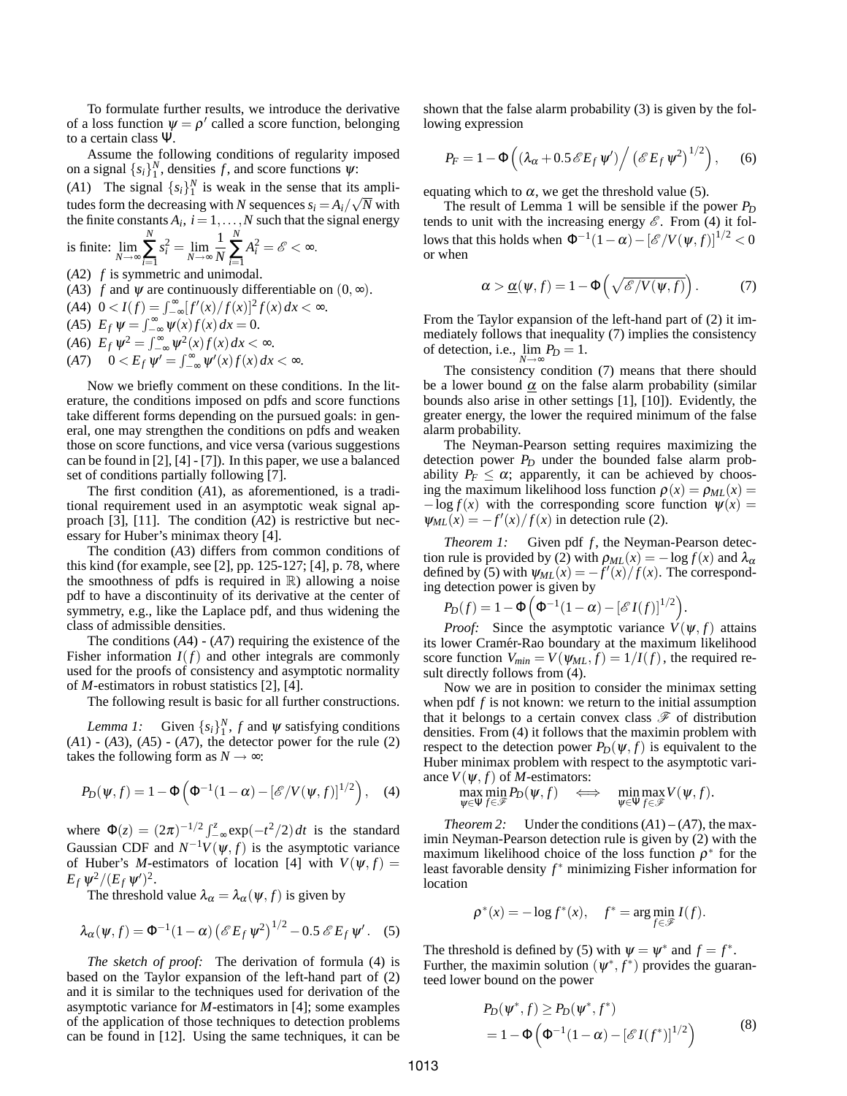To formulate further results, we introduce the derivative of a loss function  $\psi = \rho'$  called a score function, belonging to a certain class Ψ.

Assume the following conditions of regularity imposed on a signal  ${s_i}_1^N$ , densities *f*, and score functions  $\psi$ :

(*A*1) The signal  ${s_i}_1^N$  is weak in the sense that its amplitudes form the decreasing with *N* sequences  $s_i = A_i / \sqrt{N}$  with the finite constants  $A_i$ ,  $i = 1, ..., N$  such that the signal energy

is finite: 
$$
\lim_{N \to \infty} \sum_{i=1}^{N} s_i^2 = \lim_{N \to \infty} \frac{1}{N} \sum_{i=1}^{N} A_i^2 = \mathscr{E} < \infty.
$$

- (*A*2) *f* is symmetric and unimodal.
- (*A*3) *f* and  $\psi$  are continuously differentiable on  $(0, \infty)$ .

$$
(A4) \ \ 0 < I(f) = \int_{-\infty}^{\infty} [f'(x)/f(x)]^2 f(x) \, dx < \infty. \tag{A5} \ \ E_f \, \psi = \int_{-\infty}^{\infty} \psi(x) f(x) \, dx = 0.
$$

$$
(A6)\ \ E_f\,\psi^2=\int_{-\infty}^\infty\psi^2(x)f(x)\,dx<\infty.
$$

$$
(A7) \quad 0 < E_f \, \psi' = \int_{-\infty}^{\infty} \psi'(x) f(x) \, dx < \infty.
$$

Now we briefly comment on these conditions. In the literature, the conditions imposed on pdfs and score functions take different forms depending on the pursued goals: in general, one may strengthen the conditions on pdfs and weaken those on score functions, and vice versa (various suggestions can be found in [2], [4] - [7]). In this paper, we use a balanced set of conditions partially following [7].

The first condition (*A*1), as aforementioned, is a traditional requirement used in an asymptotic weak signal approach [3], [11]. The condition (*A*2) is restrictive but necessary for Huber's minimax theory [4].

The condition (*A*3) differs from common conditions of this kind (for example, see  $[2]$ , pp. 125-127;  $[4]$ , p. 78, where the smoothness of pdfs is required in  $\mathbb{R}$ ) allowing a noise pdf to have a discontinuity of its derivative at the center of symmetry, e.g., like the Laplace pdf, and thus widening the class of admissible densities.

The conditions (*A*4) - (*A*7) requiring the existence of the Fisher information  $I(f)$  and other integrals are commonly used for the proofs of consistency and asymptotic normality of *M*-estimators in robust statistics [2], [4].

The following result is basic for all further constructions.

*Lemma 1:* Given  $\{s_i\}_1^N$ , *f* and  $\psi$  satisfying conditions (*A*1) - (*A*3), (*A*5) - (*A*7), the detector power for the rule (2) takes the following form as  $N \rightarrow \infty$ :

$$
P_D(\boldsymbol{\psi}, f) = 1 - \Phi\left(\Phi^{-1}(1-\alpha) - \left[\mathscr{E}/V(\boldsymbol{\psi}, f)\right]^{1/2}\right), \quad (4)
$$

where  $\Phi(z) = (2\pi)^{-1/2} \int_{-\infty}^{z} \exp(-t^2/2) dt$  is the standard Gaussian CDF and  $N^{-1}V(\psi, f)$  is the asymptotic variance of Huber's *M*-estimators of location [4] with  $V(\psi, f) =$  $E_f \psi^2 / (E_f \psi')^2$ .

The threshold value  $\lambda_{\alpha} = \lambda_{\alpha}(\psi, f)$  is given by

$$
\lambda_{\alpha}(\psi, f) = \Phi^{-1}(1 - \alpha) \left( \mathcal{E} E_f \, \psi^2 \right)^{1/2} - 0.5 \, \mathcal{E} E_f \, \psi' \,. \tag{5}
$$

*The sketch of proof:* The derivation of formula (4) is based on the Taylor expansion of the left-hand part of (2) and it is similar to the techniques used for derivation of the asymptotic variance for *M*-estimators in [4]; some examples of the application of those techniques to detection problems can be found in [12]. Using the same techniques, it can be shown that the false alarm probability (3) is given by the following expression

$$
P_F = 1 - \Phi\left(\left(\lambda_\alpha + 0.5 \mathscr{E} E_f \psi'\right) / \left(\mathscr{E} E_f \psi^2\right)^{1/2}\right), \quad (6)
$$

equating which to  $\alpha$ , we get the threshold value (5).

The result of Lemma 1 will be sensible if the power  $P_D$ tends to unit with the increasing energy  $\mathscr E$ . From (4) it follows that this holds when  $\Phi^{-1}(1-\alpha) - [\mathscr{E}/V(\psi, f)]^{1/2} < 0$ or when

$$
\alpha > \underline{\alpha}(\psi, f) = 1 - \Phi\left(\sqrt{\mathscr{E}/V(\psi, f)}\right). \tag{7}
$$

From the Taylor expansion of the left-hand part of (2) it immediately follows that inequality (7) implies the consistency of detection, i.e.,  $\lim_{N \to \infty} P_D = 1$ .

The consistency condition (7) means that there should be a lower bound  $\alpha$  on the false alarm probability (similar bounds also arise in other settings [1], [10]). Evidently, the greater energy, the lower the required minimum of the false alarm probability.

The Neyman-Pearson setting requires maximizing the detection power  $P_D$  under the bounded false alarm probability  $P_F \leq \alpha$ ; apparently, it can be achieved by choosing the maximum likelihood loss function  $\rho(x) = \rho_{ML}(x)$  $-\log f(x)$  with the corresponding score function  $\psi(x) =$  $\psi_{ML}(x) = -f'(x)/f(x)$  in detection rule (2).

*Theorem 1:* Given pdf *f*, the Neyman-Pearson detection rule is provided by (2) with  $\rho_{ML}(x) = -\log f(x)$  and  $\lambda_{\alpha}$ defined by (5) with  $\psi_{ML}(x) = -f'(x)/f(x)$ . The corresponding detection power is given by

$$
P_D(f) = 1 - \Phi\left(\Phi^{-1}(1-\alpha) - \left[\mathscr{E}I(f)\right]^{1/2}\right).
$$

*Proof:* Since the asymptotic variance  $V(\psi, f)$  attains its lower Cramér-Rao boundary at the maximum likelihood score function  $V_{min} = V(\psi_{ML}, f) = 1/I(f)$ , the required result directly follows from (4).

Now we are in position to consider the minimax setting when pdf *f* is not known: we return to the initial assumption that it belongs to a certain convex class  $\mathscr F$  of distribution densities. From (4) it follows that the maximin problem with respect to the detection power  $P_D(\psi, f)$  is equivalent to the Huber minimax problem with respect to the asymptotic variance  $V(\psi, f)$  of *M*-estimators:

$$
\max_{\psi \in \Psi} \min_{f \in \mathscr{F}} P_D(\psi, f) \iff \min_{\psi \in \Psi} \max_{f \in \mathscr{F}} V(\psi, f).
$$

*Theorem 2:* Under the conditions  $(A1) - (A7)$ , the maximin Neyman-Pearson detection rule is given by (2) with the maximum likelihood choice of the loss function  $\rho^*$  for the least favorable density *f* <sup>∗</sup> minimizing Fisher information for location

$$
\rho^*(x) = -\log f^*(x), \quad f^* = \arg\min_{f \in \mathcal{F}} I(f).
$$

The threshold is defined by (5) with  $\psi = \psi^*$  and  $f = f^*$ . Further, the maximin solution  $(\psi^*, f^*)$  provides the guaranteed lower bound on the power

$$
P_D(\psi^*, f) \ge P_D(\psi^*, f^*)
$$
  
= 1 -  $\Phi\left(\Phi^{-1}(1-\alpha) - [\mathscr{E}I(f^*)]^{1/2}\right)$  (8)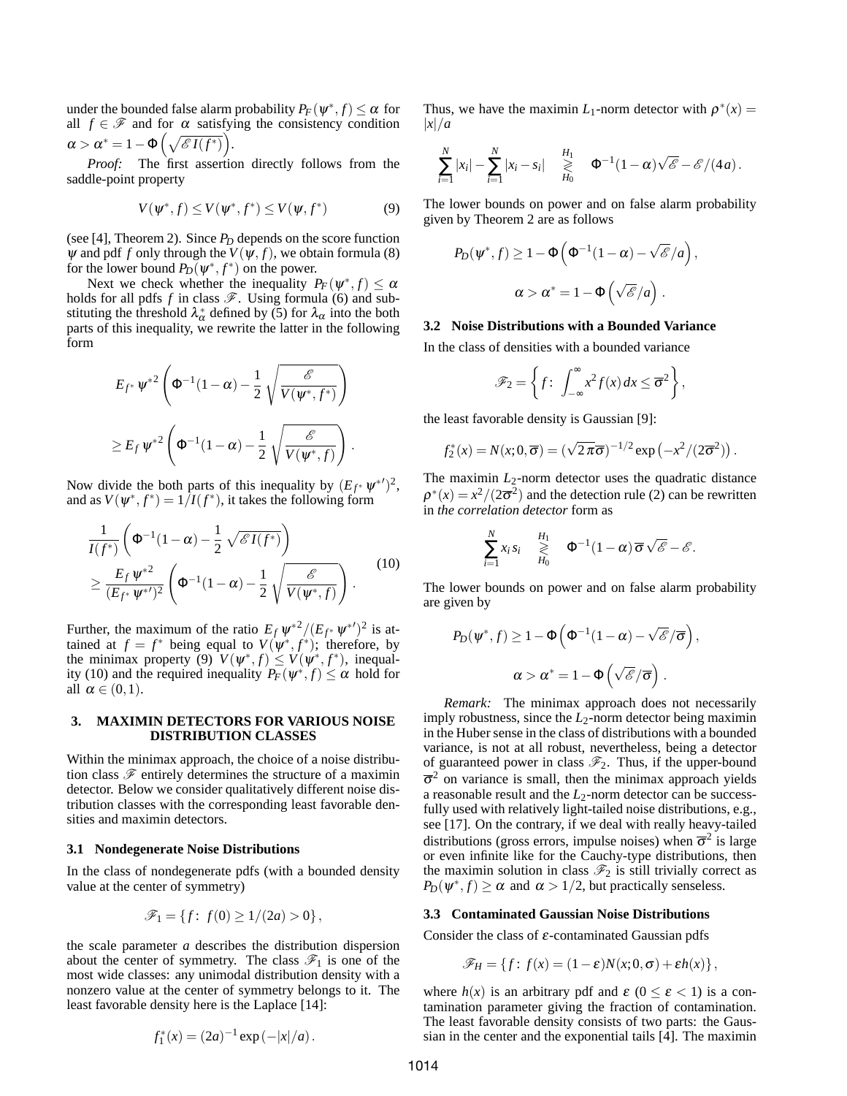under the bounded false alarm probability  $P_F(\psi^*, f) \leq \alpha$  for all  $f \in \mathcal{F}$  and for  $\alpha$  satisfying the consistency condition  $\alpha > \alpha^* = 1 - \Phi\left(\sqrt{\mathscr{E}I(f^*)}\right).$ 

*Proof:* The first assertion directly follows from the saddle-point property

$$
V(\psi^*, f) \le V(\psi^*, f^*) \le V(\psi, f^*)
$$
 (9)

(see [4], Theorem 2). Since *P<sup>D</sup>* depends on the score function  $\psi$  and pdf *f* only through the  $V(\psi, f)$ , we obtain formula (8) for the lower bound  $P_D(\psi^*, f^*)$  on the power.

Next we check whether the inequality  $P_F(\psi^*, f) \leq \alpha$ holds for all pdfs  $f$  in class  $\mathscr F$ . Using formula (6) and substituting the threshold  $\lambda_{\alpha}^{*}$  defined by (5) for  $\lambda_{\alpha}$  into the both parts of this inequality, we rewrite the latter in the following form

$$
E_{f^*} \psi^{*2} \left( \Phi^{-1} (1 - \alpha) - \frac{1}{2} \sqrt{\frac{\mathscr{E}}{V(\psi^*, f^*)}} \right)
$$
  

$$
\geq E_f \psi^{*2} \left( \Phi^{-1} (1 - \alpha) - \frac{1}{2} \sqrt{\frac{\mathscr{E}}{V(\psi^*, f)}} \right).
$$

Now divide the both parts of this inequality by  $(E_{f^*} \psi^{*})^2$ , and as  $V(\psi^*, f^*) = 1/I(f^*)$ , it takes the following form

$$
\frac{1}{I(f^*)}\left(\Phi^{-1}(1-\alpha) - \frac{1}{2}\sqrt{\mathscr{E}I(f^*)}\right) \geq \frac{E_f \psi^{*2}}{(E_{f^*} \psi^{*'})^2}\left(\Phi^{-1}(1-\alpha) - \frac{1}{2}\sqrt{\frac{\mathscr{E}}{V(\psi^*, f)}}\right).
$$
\n(10)

Further, the maximum of the ratio  $E_f \psi^{*2}/(E_{f^*} \psi^{*2})^2$  is attained at  $f = f^*$  being equal to  $V(\psi^*, f^*)$ ; therefore, by the minimax property (9)  $V(\psi^*, f) \leq V(\psi^*, f^*)$ , inequality (10) and the required inequality  $P_F(\psi^*, f) \le \alpha$  hold for all  $\alpha \in (0,1)$ .

## **3. MAXIMIN DETECTORS FOR VARIOUS NOISE DISTRIBUTION CLASSES**

Within the minimax approach, the choice of a noise distribution class  $\mathscr F$  entirely determines the structure of a maximin detector. Below we consider qualitatively different noise distribution classes with the corresponding least favorable densities and maximin detectors.

#### **3.1 Nondegenerate Noise Distributions**

In the class of nondegenerate pdfs (with a bounded density value at the center of symmetry)

$$
\mathscr{F}_1 = \{ f \colon f(0) \ge 1/(2a) > 0 \},
$$

the scale parameter *a* describes the distribution dispersion about the center of symmetry. The class  $\mathcal{F}_1$  is one of the most wide classes: any unimodal distribution density with a nonzero value at the center of symmetry belongs to it. The least favorable density here is the Laplace [14]:

$$
f_1^*(x) = (2a)^{-1} \exp(-|x|/a).
$$

Thus, we have the maximin  $L_1$ -norm detector with  $\rho^*(x) =$ |*x*|/*a*

$$
\sum_{i=1}^N |x_i| - \sum_{i=1}^N |x_i - s_i| \geq \frac{H_1}{H_0} \Phi^{-1}(1-\alpha)\sqrt{\mathscr{E}} - \mathscr{E}/(4a).
$$

The lower bounds on power and on false alarm probability given by Theorem 2 are as follows

$$
P_D(\psi^*, f) \ge 1 - \Phi\left(\Phi^{-1}(1-\alpha) - \sqrt{\mathscr{E}}/a\right),
$$
  

$$
\alpha > \alpha^* = 1 - \Phi\left(\sqrt{\mathscr{E}}/a\right).
$$

#### **3.2 Noise Distributions with a Bounded Variance**

In the class of densities with a bounded variance

$$
\mathscr{F}_2 = \left\{ f \colon \int_{-\infty}^{\infty} x^2 f(x) \, dx \leq \overline{\sigma}^2 \right\},\
$$

the least favorable density is Gaussian [9]:

$$
f_2^*(x) = N(x; 0, \overline{\sigma}) = (\sqrt{2\pi}\overline{\sigma})^{-1/2} \exp(-x^2/(2\overline{\sigma}^2)).
$$

The maximin  $L_2$ -norm detector uses the quadratic distance  $\rho^*(x) = x^2/(2\overline{\sigma}^2)$  and the detection rule (2) can be rewritten in *the correlation detector* form as

$$
\sum_{i=1}^N x_i s_i \quad \geqslant \quad \Phi^{-1}(1-\alpha) \overline{\sigma} \sqrt{\mathscr{E}} - \mathscr{E}.
$$

The lower bounds on power and on false alarm probability are given by

$$
P_D(\psi^*, f) \ge 1 - \Phi\left(\Phi^{-1}(1-\alpha) - \sqrt{\mathscr{E}}/\overline{\sigma}\right),
$$
  

$$
\alpha > \alpha^* = 1 - \Phi\left(\sqrt{\mathscr{E}}/\overline{\sigma}\right).
$$

*Remark:* The minimax approach does not necessarily imply robustness, since the  $L_2$ -norm detector being maximin in the Huber sense in the class of distributions with a bounded variance, is not at all robust, nevertheless, being a detector of guaranteed power in class  $\mathcal{F}_2$ . Thus, if the upper-bound  $\bar{\sigma}^2$  on variance is small, then the minimax approach yields a reasonable result and the *L*2-norm detector can be successfully used with relatively light-tailed noise distributions, e.g., see [17]. On the contrary, if we deal with really heavy-tailed distributions (gross errors, impulse noises) when  $\overline{\sigma}^2$  is large or even infinite like for the Cauchy-type distributions, then the maximin solution in class  $\mathcal{F}_2$  is still trivially correct as  $P_D(\psi^*, f) \ge \alpha$  and  $\alpha > 1/2$ , but practically senseless.

#### **3.3 Contaminated Gaussian Noise Distributions**

Consider the class of  $\varepsilon$ -contaminated Gaussian pdfs

$$
\mathscr{F}_H = \{f: f(x) = (1 - \varepsilon)N(x; 0, \sigma) + \varepsilon h(x)\},\
$$

where  $h(x)$  is an arbitrary pdf and  $\varepsilon$  ( $0 \le \varepsilon < 1$ ) is a contamination parameter giving the fraction of contamination. The least favorable density consists of two parts: the Gaussian in the center and the exponential tails [4]. The maximin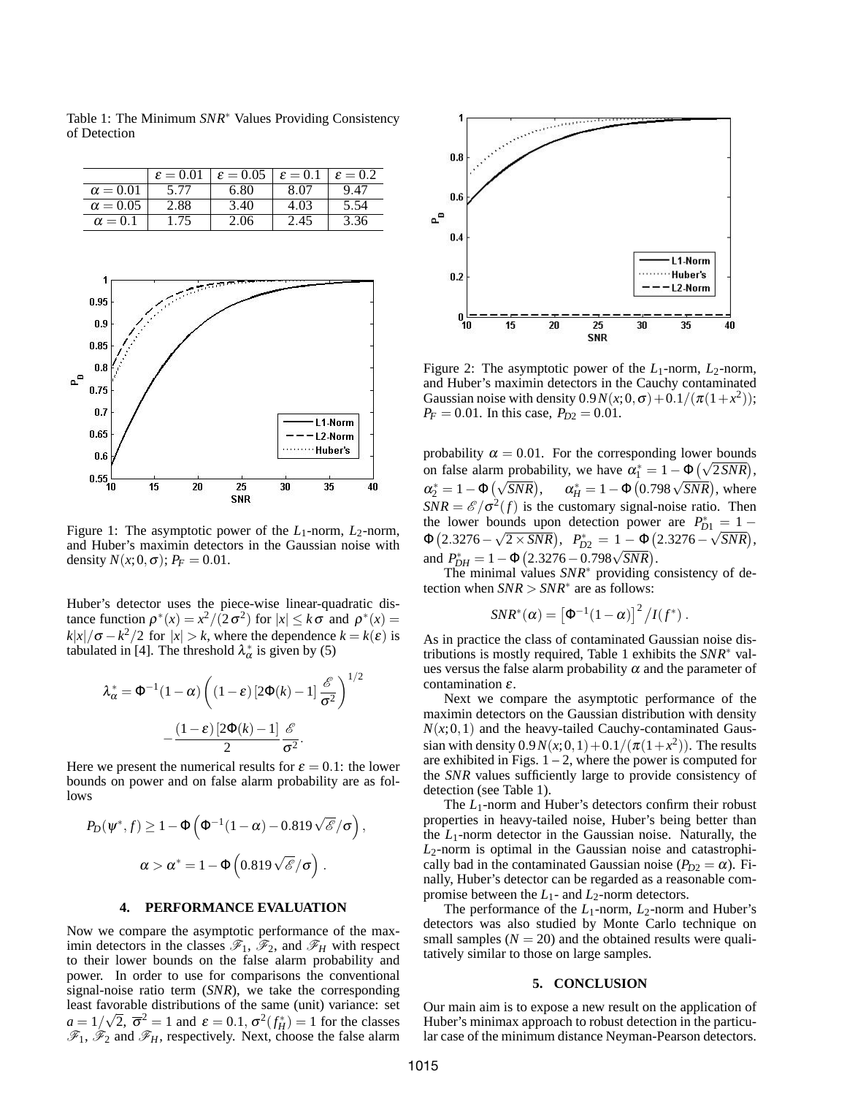

Table 1: The Minimum *SNR*<sup>∗</sup> Values Providing Consistency of Detection



Figure 1: The asymptotic power of the *L*<sub>1</sub>-norm, *L*<sub>2</sub>-norm, and Huber's maximin detectors in the Gaussian noise with density  $N(x; 0, \sigma)$ ;  $P_F = 0.01$ .

Huber's detector uses the piece-wise linear-quadratic distance function  $\rho^*(x) = x^2/(2\sigma^2)$  for  $|x| \leq k\sigma$  and  $\rho^*(x) =$  $k|x|/\sigma - k^2/2$  for  $|x| > k$ , where the dependence  $k = k(\varepsilon)$  is tabulated in [4]. The threshold  $\lambda_{\alpha}^{*}$  is given by (5)

$$
\lambda_{\alpha}^{*} = \Phi^{-1}(1-\alpha) \left( (1-\varepsilon) \left[ 2\Phi(k) - 1 \right] \frac{\mathscr{E}}{\sigma^2} \right)^{1/2}
$$

$$
- \frac{(1-\varepsilon) \left[ 2\Phi(k) - 1 \right]}{2} \frac{\mathscr{E}}{\sigma^2}.
$$

Here we present the numerical results for  $\varepsilon = 0.1$ : the lower bounds on power and on false alarm probability are as follows

$$
P_D(\psi^*, f) \ge 1 - \Phi\left(\Phi^{-1}(1-\alpha) - 0.819\sqrt{\mathscr{E}}/\sigma\right)
$$

$$
\alpha > \alpha^* = 1 - \Phi\left(0.819\sqrt{\mathscr{E}}/\sigma\right).
$$

## **4. PERFORMANCE EVALUATION**

Now we compare the asymptotic performance of the maximin detectors in the classes  $\mathscr{F}_1$ ,  $\mathscr{F}_2$ , and  $\mathscr{F}_H$  with respect to their lower bounds on the false alarm probability and power. In order to use for comparisons the conventional signal-noise ratio term (*SNR*), we take the corresponding least favorable distributions of the same (unit) variance: set  $a = 1/\sqrt{2}, \overline{\sigma}^2 = 1$  and  $\varepsilon = 0.1, \sigma^2(f_H^*) = 1$  for the classes  $\mathscr{F}_1$ ,  $\mathscr{F}_2$  and  $\mathscr{F}_H$ , respectively. Next, choose the false alarm



Figure 2: The asymptotic power of the  $L_1$ -norm,  $L_2$ -norm, and Huber's maximin detectors in the Cauchy contaminated Gaussian noise with density  $0.9N(x;0,\sigma) + 0.1/(\pi(1+x^2))$ ;  $P_F = 0.01$ . In this case,  $P_{D2} = 0.01$ .

probability  $\alpha = 0.01$ . For the corresponding lower bounds probability  $\alpha = 0.01$ . For the corresponding lower bounds<br>on false alarm probability, we have  $\alpha_1^* = 1 - \Phi\left(\sqrt{2 SNR}\right)$ ,  $\alpha_2^* = 1 - \Phi\left(\sqrt{SNR}\right)$  $\alpha_H^* = 1 - \Phi(0.798 \sqrt{SNR})$ , where  $SNR = \frac{\mathcal{E}}{\sigma^2(f)}$  is the customary signal-noise ratio. Then the lower bounds upon detection power are  $P_{D1}^* = 1 \Phi(2.3276 - \sqrt{2 \times SNR}), \ \ P_{D2}^* = 1 - \Phi(2.3276 - \sqrt{SNR}),$  $\Phi$ (2.3276 –  $\nabla$  2 × 3*NK*),  $T_{D2} = 1 - \Phi$ <br>and  $P_{DH}^* = 1 - \Phi$ (2.3276 – 0.798 $\sqrt{SNR}$ ).

The minimal values *SNR*<sup>∗</sup> providing consistency of detection when  $SNR > SNR^*$  are as follows:

$$
SNR^*(\alpha) = \left[\Phi^{-1}(1-\alpha)\right]^2 / I(f^*) .
$$

As in practice the class of contaminated Gaussian noise distributions is mostly required, Table 1 exhibits the *SNR*<sup>∗</sup> values versus the false alarm probability  $\alpha$  and the parameter of contamination ε.

Next we compare the asymptotic performance of the maximin detectors on the Gaussian distribution with density  $N(x;0,1)$  and the heavy-tailed Cauchy-contaminated Gaussian with density  $0.9N(x;0,1) + 0.1/(\pi(1+x^2))$ . The results are exhibited in Figs.  $1 - 2$ , where the power is computed for the *SNR* values sufficiently large to provide consistency of detection (see Table 1).

The *L*<sub>1</sub>-norm and Huber's detectors confirm their robust properties in heavy-tailed noise, Huber's being better than the *L*1-norm detector in the Gaussian noise. Naturally, the *L*2-norm is optimal in the Gaussian noise and catastrophically bad in the contaminated Gaussian noise ( $P_{D2} = \alpha$ ). Finally, Huber's detector can be regarded as a reasonable compromise between the  $L_1$ - and  $L_2$ -norm detectors.

The performance of the  $L_1$ -norm,  $L_2$ -norm and Huber's detectors was also studied by Monte Carlo technique on small samples  $(N = 20)$  and the obtained results were qualitatively similar to those on large samples.

#### **5. CONCLUSION**

Our main aim is to expose a new result on the application of Huber's minimax approach to robust detection in the particular case of the minimum distance Neyman-Pearson detectors.

,